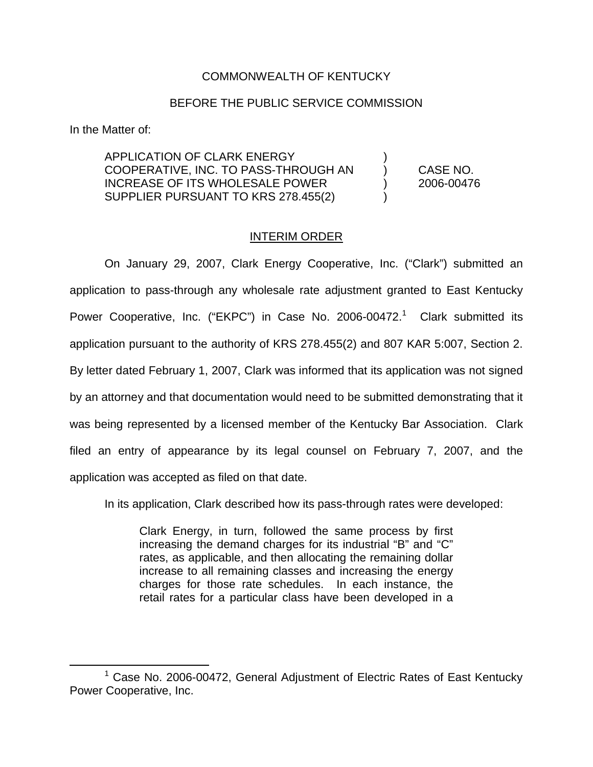## COMMONWEALTH OF KENTUCKY

## BEFORE THE PUBLIC SERVICE COMMISSION

In the Matter of:

APPLICATION OF CLARK ENERGY COOPERATIVE, INC. TO PASS-THROUGH AN ) CASE NO. INCREASE OF ITS WHOLESALE POWER ) 2006-00476 SUPPLIER PURSUANT TO KRS 278.455(2)

## INTERIM ORDER

On January 29, 2007, Clark Energy Cooperative, Inc. ("Clark") submitted an application to pass-through any wholesale rate adjustment granted to East Kentucky Power Cooperative, Inc. ("EKPC") in Case No. 2006-00472.<sup>1</sup> Clark submitted its application pursuant to the authority of KRS 278.455(2) and 807 KAR 5:007, Section 2. By letter dated February 1, 2007, Clark was informed that its application was not signed by an attorney and that documentation would need to be submitted demonstrating that it was being represented by a licensed member of the Kentucky Bar Association. Clark filed an entry of appearance by its legal counsel on February 7, 2007, and the application was accepted as filed on that date.

In its application, Clark described how its pass-through rates were developed:

Clark Energy, in turn, followed the same process by first increasing the demand charges for its industrial "B" and "C" rates, as applicable, and then allocating the remaining dollar increase to all remaining classes and increasing the energy charges for those rate schedules. In each instance, the retail rates for a particular class have been developed in a

 $1$  Case No. 2006-00472, General Adjustment of Electric Rates of East Kentucky Power Cooperative, Inc.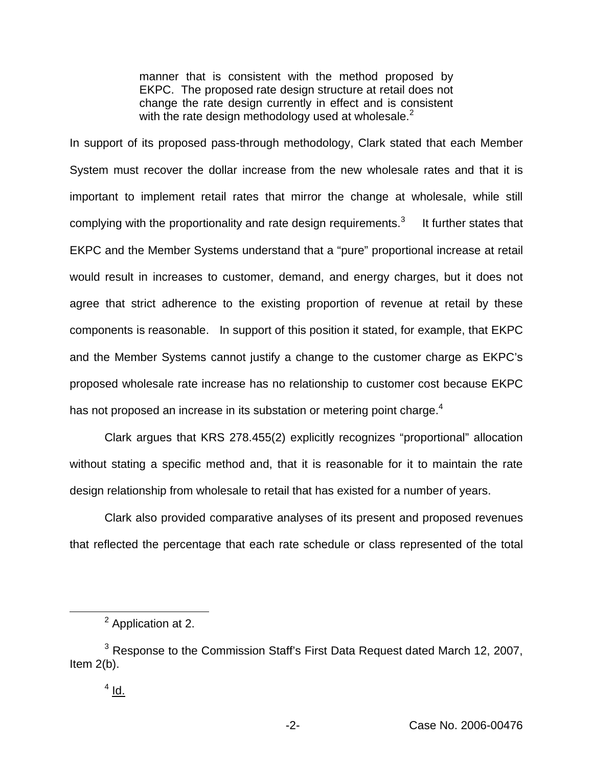manner that is consistent with the method proposed by EKPC. The proposed rate design structure at retail does not change the rate design currently in effect and is consistent with the rate design methodology used at wholesale. $<sup>2</sup>$ </sup>

In support of its proposed pass-through methodology, Clark stated that each Member System must recover the dollar increase from the new wholesale rates and that it is important to implement retail rates that mirror the change at wholesale, while still complying with the proportionality and rate design requirements. $3$  It further states that EKPC and the Member Systems understand that a "pure" proportional increase at retail would result in increases to customer, demand, and energy charges, but it does not agree that strict adherence to the existing proportion of revenue at retail by these components is reasonable. In support of this position it stated, for example, that EKPC and the Member Systems cannot justify a change to the customer charge as EKPC's proposed wholesale rate increase has no relationship to customer cost because EKPC has not proposed an increase in its substation or metering point charge.<sup>4</sup>

Clark argues that KRS 278.455(2) explicitly recognizes "proportional" allocation without stating a specific method and, that it is reasonable for it to maintain the rate design relationship from wholesale to retail that has existed for a number of years.

Clark also provided comparative analyses of its present and proposed revenues that reflected the percentage that each rate schedule or class represented of the total

<sup>2</sup> Application at 2.

<sup>&</sup>lt;sup>3</sup> Response to the Commission Staff's First Data Request dated March 12, 2007, Item 2(b).

 $4$  Id.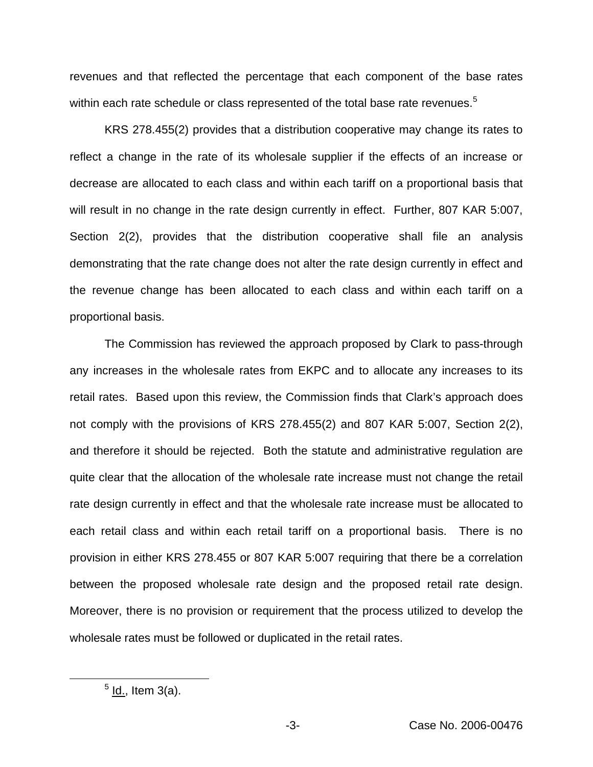revenues and that reflected the percentage that each component of the base rates within each rate schedule or class represented of the total base rate revenues.<sup>5</sup>

KRS 278.455(2) provides that a distribution cooperative may change its rates to reflect a change in the rate of its wholesale supplier if the effects of an increase or decrease are allocated to each class and within each tariff on a proportional basis that will result in no change in the rate design currently in effect. Further, 807 KAR 5:007, Section 2(2), provides that the distribution cooperative shall file an analysis demonstrating that the rate change does not alter the rate design currently in effect and the revenue change has been allocated to each class and within each tariff on a proportional basis.

The Commission has reviewed the approach proposed by Clark to pass-through any increases in the wholesale rates from EKPC and to allocate any increases to its retail rates. Based upon this review, the Commission finds that Clark's approach does not comply with the provisions of KRS 278.455(2) and 807 KAR 5:007, Section 2(2), and therefore it should be rejected. Both the statute and administrative regulation are quite clear that the allocation of the wholesale rate increase must not change the retail rate design currently in effect and that the wholesale rate increase must be allocated to each retail class and within each retail tariff on a proportional basis. There is no provision in either KRS 278.455 or 807 KAR 5:007 requiring that there be a correlation between the proposed wholesale rate design and the proposed retail rate design. Moreover, there is no provision or requirement that the process utilized to develop the wholesale rates must be followed or duplicated in the retail rates.

 $<sup>5</sup>$  ld., Item 3(a).</sup>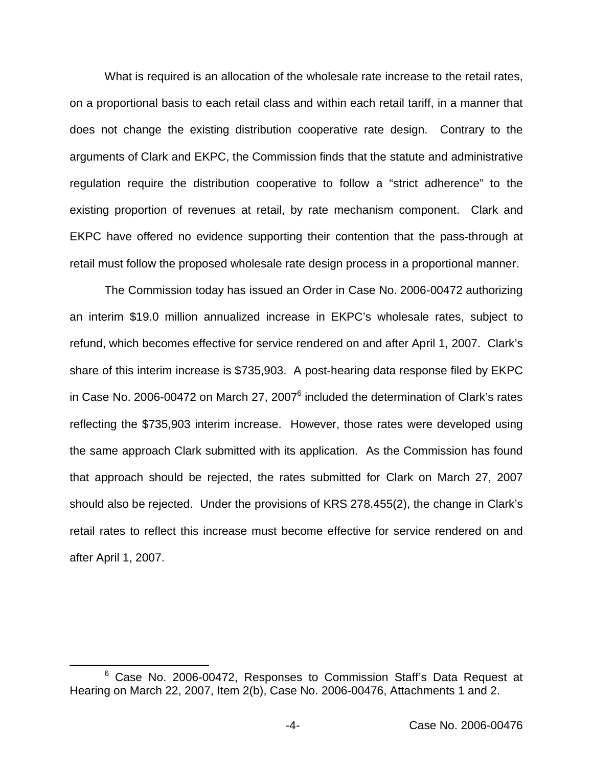What is required is an allocation of the wholesale rate increase to the retail rates, on a proportional basis to each retail class and within each retail tariff, in a manner that does not change the existing distribution cooperative rate design. Contrary to the arguments of Clark and EKPC, the Commission finds that the statute and administrative regulation require the distribution cooperative to follow a "strict adherence" to the existing proportion of revenues at retail, by rate mechanism component. Clark and EKPC have offered no evidence supporting their contention that the pass-through at retail must follow the proposed wholesale rate design process in a proportional manner.

The Commission today has issued an Order in Case No. 2006-00472 authorizing an interim \$19.0 million annualized increase in EKPC's wholesale rates, subject to refund, which becomes effective for service rendered on and after April 1, 2007. Clark's share of this interim increase is \$735,903. A post-hearing data response filed by EKPC in Case No. 2006-00472 on March 27, 2007 $^6$  included the determination of Clark's rates reflecting the \$735,903 interim increase. However, those rates were developed using the same approach Clark submitted with its application. As the Commission has found that approach should be rejected, the rates submitted for Clark on March 27, 2007 should also be rejected. Under the provisions of KRS 278.455(2), the change in Clark's retail rates to reflect this increase must become effective for service rendered on and after April 1, 2007.

<sup>&</sup>lt;sup>6</sup> Case No. 2006-00472, Responses to Commission Staff's Data Request at Hearing on March 22, 2007, Item 2(b), Case No. 2006-00476, Attachments 1 and 2.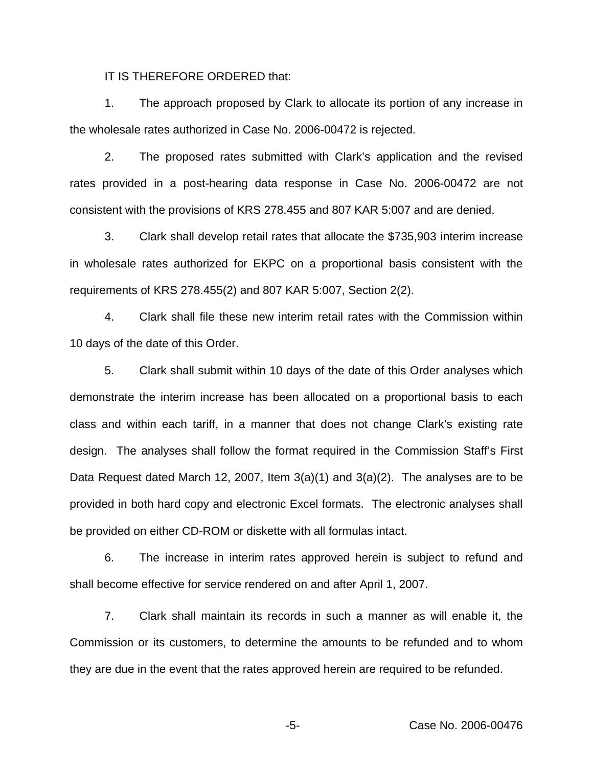IT IS THEREFORE ORDERED that:

1. The approach proposed by Clark to allocate its portion of any increase in the wholesale rates authorized in Case No. 2006-00472 is rejected.

2. The proposed rates submitted with Clark's application and the revised rates provided in a post-hearing data response in Case No. 2006-00472 are not consistent with the provisions of KRS 278.455 and 807 KAR 5:007 and are denied.

3. Clark shall develop retail rates that allocate the \$735,903 interim increase in wholesale rates authorized for EKPC on a proportional basis consistent with the requirements of KRS 278.455(2) and 807 KAR 5:007, Section 2(2).

4. Clark shall file these new interim retail rates with the Commission within 10 days of the date of this Order.

5. Clark shall submit within 10 days of the date of this Order analyses which demonstrate the interim increase has been allocated on a proportional basis to each class and within each tariff, in a manner that does not change Clark's existing rate design. The analyses shall follow the format required in the Commission Staff's First Data Request dated March 12, 2007, Item 3(a)(1) and 3(a)(2). The analyses are to be provided in both hard copy and electronic Excel formats. The electronic analyses shall be provided on either CD-ROM or diskette with all formulas intact.

6. The increase in interim rates approved herein is subject to refund and shall become effective for service rendered on and after April 1, 2007.

7. Clark shall maintain its records in such a manner as will enable it, the Commission or its customers, to determine the amounts to be refunded and to whom they are due in the event that the rates approved herein are required to be refunded.

-5- Case No. 2006-00476